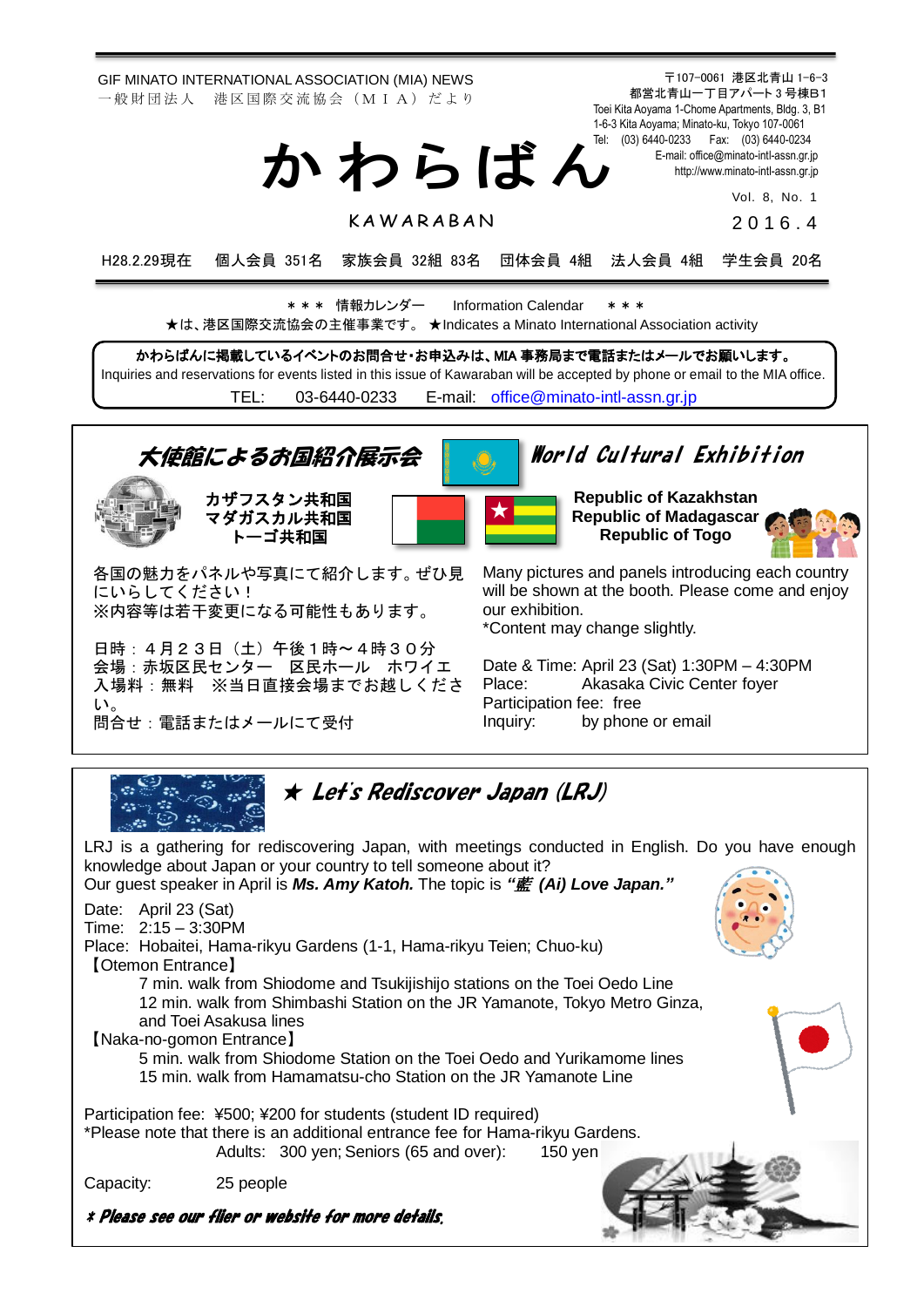GIF MINATO INTERNATIONAL ASSOCIATION (MIA) NEWS 一 般 財 団 法 人 港 区 国 際 交 流 協 会 (M I A) だ よ り

> Tel: (03) 6440-0233 Fax: (03) 6440-0234 か わ ら ば ん

> > K A W A R A B A N

Vol. 8, No. 1 2 0 1 6 . 4

〒107-0061 港区北青山 1-6-3 都営北青山一丁目アパート 3 号棟B1 Toei Kita Aoyama 1-Chome Apartments, Bldg. 3, B1 1-6-3 Kita Aoyama; Minato-ku, Tokyo 107-0061

> E-mail[: office@minato-intl-assn.gr.jp](mailto:office@minato-intl-assn.gr.jp) [http://www.minato-intl-assn.gr.jp](http://www.minato-intl-assn.gr.jp/)

H28.2.29現在 個人会員 351名 家族会員 32組 83名 団体会員 4組 法人会員 4組 学生会員 20名

\* \* \* 情報カレンダー Information Calendar \* \* \* ★は、港区国際交流協会の主催事業です。 ★Indicates a Minato International Association activity

かわらばんに掲載しているイベントのお問合せ・お申込みは、MIA 事務局まで電話またはメールでお願いします。 Inquiries and reservations for events listed in this issue of Kawaraban will be accepted by phone or email to the MIA office. TEL: [03-6440-0233](mailto:TEL:%0903-6440-0233) E-mail: [office@minato-intl-assn.gr.jp](mailto:office@minato-intl-assn.gr.jp)



日時:4月23日(土)午後1時~4時30分 会場:赤坂区民センター 区民ホール ホワイエ 入場料:無料 ※当日直接会場までお越しくださ い。 問合せ:電話またはメールにて受付

\*Content may change slightly.

Date & Time: April 23 (Sat) 1:30PM – 4:30PM Place: Akasaka Civic Center foyer Participation fee: free Inquiry: by phone or email